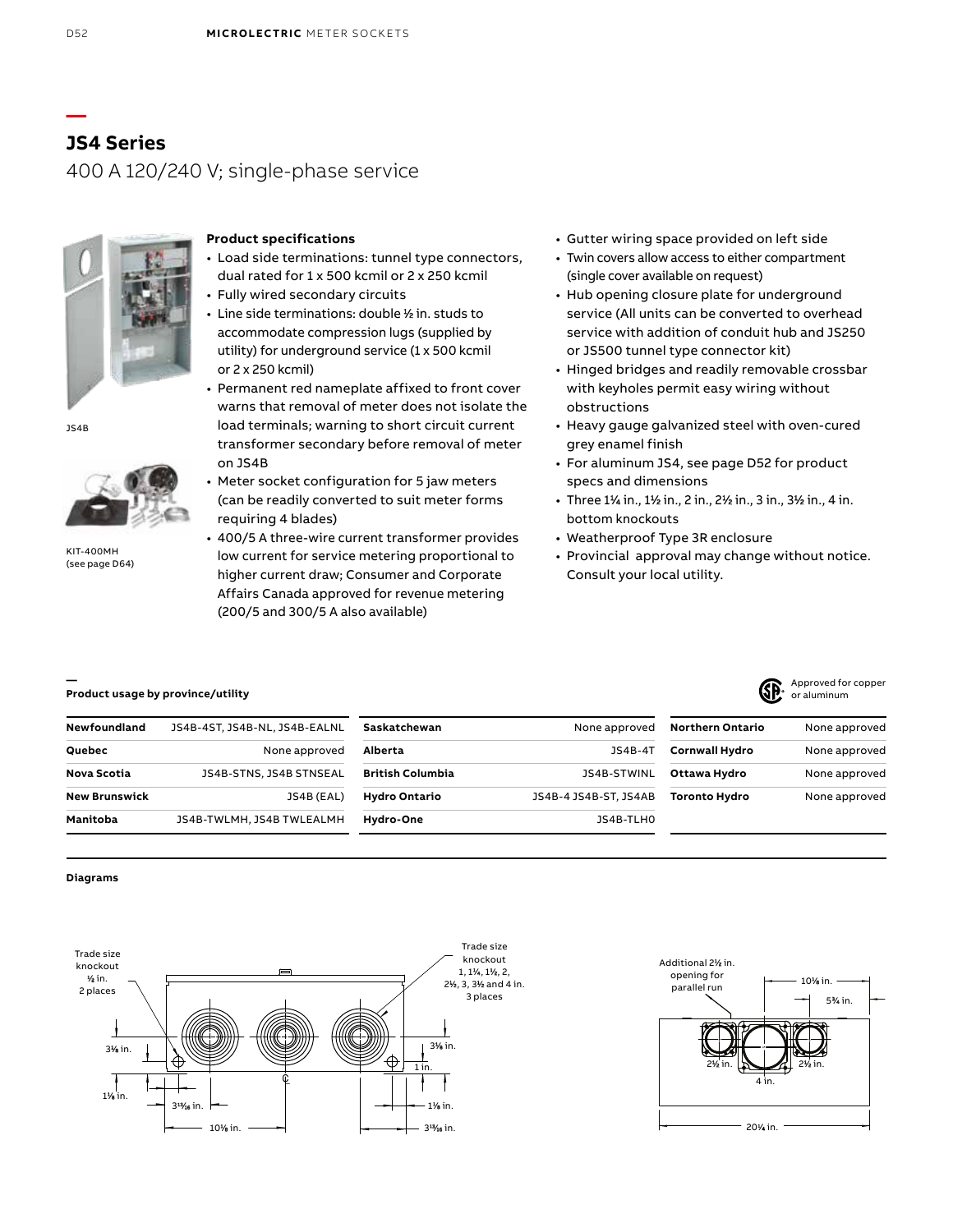# **JS4 Series** 400 A 120/240 V; single-phase service



### **Product specifications**

- Load side terminations: tunnel type connectors, dual rated for 1 x 500 kcmil or 2 x 250 kcmil
- Fully wired secondary circuits
- Line side terminations: double ½ in. studs to accommodate compression lugs (supplied by utility) for underground service (1 x 500 kcmil or 2 x 250 kcmil)
- Permanent red nameplate affixed to front cover warns that removal of meter does not isolate the load terminals; warning to short circuit current transformer secondary before removal of meter on JS4B
- Meter socket configuration for 5 jaw meters (can be readily converted to suit meter forms requiring 4 blades)
- 400/5 A three-wire current transformer provides low current for service metering proportional to higher current draw; Consumer and Corporate Affairs Canada approved for revenue metering (200/5 and 300/5 A also available)
- Gutter wiring space provided on left side
- Twin covers allow access to either compartment (single cover available on request)
- Hub opening closure plate for underground service (All units can be converted to overhead service with addition of conduit hub and JS250 or JS500 tunnel type connector kit)
- Hinged bridges and readily removable crossbar with keyholes permit easy wiring without obstructions
- Heavy gauge galvanized steel with oven-cured grey enamel finish
- For aluminum JS4, see page D52 for product specs and dimensions
- Three 1<sup>1</sup> ⁄4 in., 1<sup>1</sup> ⁄2 in., 2 in., 2<sup>1</sup> ⁄2 in., 3 in., 3<sup>1</sup> ⁄2 in., 4 in. bottom knockouts
- Weatherproof Type 3R enclosure
- Provincial approval may change without notice. Consult your local utility.

### **Product usage by province/utility**

| <b>Newfoundland</b>  | JS4B-4ST, JS4B-NL, JS4B-EALNL | Saskatchewan            | None approved         | Northern Ontario      | None approved |  |
|----------------------|-------------------------------|-------------------------|-----------------------|-----------------------|---------------|--|
| Quebec               | None approved                 | Alberta                 | JS4B-4T               | <b>Cornwall Hydro</b> | None approved |  |
| Nova Scotia          | JS4B-STNS. JS4B STNSEAL       | <b>British Columbia</b> | JS4B-STWINL           | Ottawa Hydro          | None approved |  |
| <b>New Brunswick</b> | JS4B (EAL)                    | <b>Hydro Ontario</b>    | JS4B-4 JS4B-ST, JS4AB | <b>Toronto Hydro</b>  | None approved |  |
| Manitoba             | JS4B-TWLMH, JS4B TWLEALMH     | Hydro-One               | JS4B-TLHO             |                       |               |  |

#### **Diagrams**





**—**

JS4B



KIT-400MH (see page D64)

**—**

Approved for copper or aluminum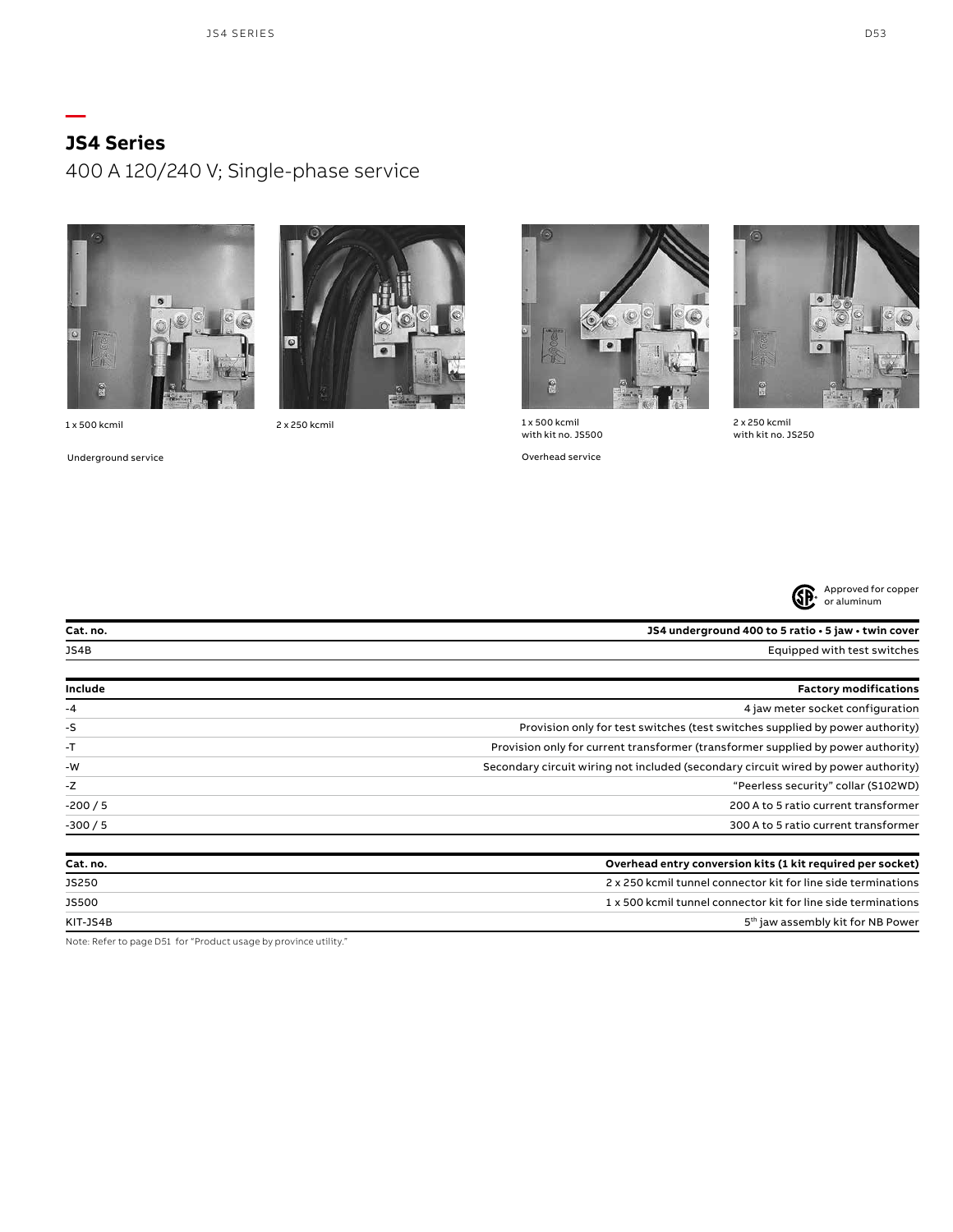# **JS4 Series**

**—**

400 A 120/240 V; Single-phase service



1 x 500 kcmil 1 x 500 kcmil 2 x 250 kcmil

 $\bullet$ 

Underground service **Overhead service** Overhead service





with kit no. JS500



2 x 250 kcmil with kit no. JS250



| Cat. no. | JS4 underground 400 to 5 ratio · 5 jaw · twin cover                                |
|----------|------------------------------------------------------------------------------------|
| JS4B     | Equipped with test switches                                                        |
| Include  | <b>Factory modifications</b>                                                       |
| $-4$     | 4 jaw meter socket configuration                                                   |
| -S       | Provision only for test switches (test switches supplied by power authority)       |
| $-T$     | Provision only for current transformer (transformer supplied by power authority)   |
| -W       | Secondary circuit wiring not included (secondary circuit wired by power authority) |
| $-Z$     | "Peerless security" collar (S102WD)                                                |
| $-200/5$ | 200 A to 5 ratio current transformer                                               |
| $-300/5$ | 300 A to 5 ratio current transformer                                               |
| Cat. no. | Overhead entry conversion kits (1 kit required per socket)                         |
| JS250    | 2 x 250 kcmil tunnel connector kit for line side terminations                      |

JS500 1 x 500 kcmil tunnel connector kit for line side terminations KIT-JS4B 5<sup>th</sup> jaw assembly kit for NB Power

Note: Refer to page D51 for "Product usage by province utility."